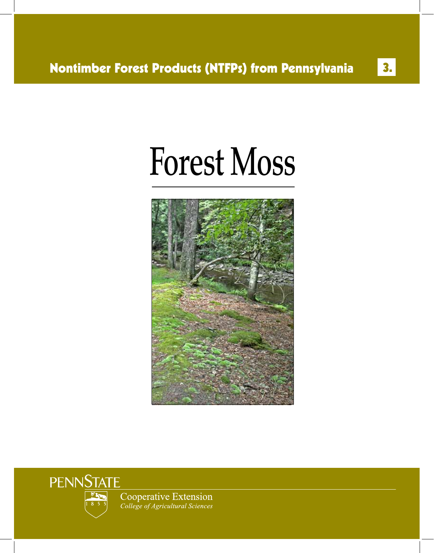3.

# Forest Moss





Cooperative Extension College of Agricultural Sciences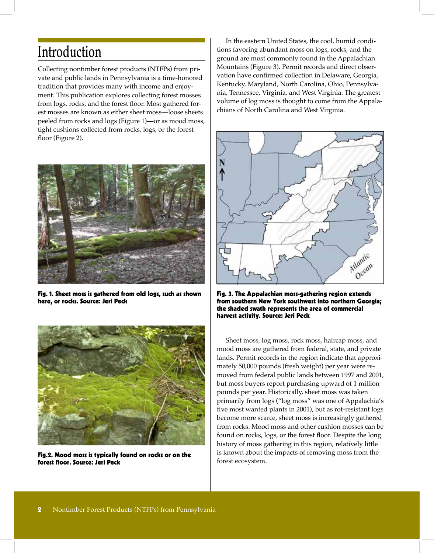### Introduction

Collecting nontimber forest products (NTFPs) from private and public lands in Pennsylvania is a time-honored tradition that provides many with income and enjoyment. This publication explores collecting forest mosses from logs, rocks, and the forest floor. Most gathered forest mosses are known as either sheet moss—loose sheets peeled from rocks and logs (Figure 1)—or as mood moss, tight cushions collected from rocks, logs, or the forest floor (Figure 2).



Fig. 1. Sheet moss is gathered from old logs, such as shown here, or rocks. Source: Jeri Peck



Fig.2. Mood moss is typically found on rocks or on the forest floor. Source: Jeri Peck

In the eastern United States, the cool, humid conditions favoring abundant moss on logs, rocks, and the ground are most commonly found in the Appalachian Mountains (Figure 3). Permit records and direct observation have confirmed collection in Delaware, Georgia, Kentucky, Maryland, North Carolina, Ohio, Pennsylvania, Tennessee, Virginia, and West Virginia. The greatest volume of log moss is thought to come from the Appalachians of North Carolina and West Virginia.



Fig. 3. The Appalachian moss-gathering region extends from southern New York southwest into northern Georgia; the shaded swath represents the area of commercial harvest activity. Source: Jeri Peck

Sheet moss, log moss, rock moss, haircap moss, and mood moss are gathered from federal, state, and private lands. Permit records in the region indicate that approximately 50,000 pounds (fresh weight) per year were removed from federal public lands between 1997 and 2001, but moss buyers report purchasing upward of 1 million pounds per year. Historically, sheet moss was taken primarily from logs ("log moss" was one of Appalachia's five most wanted plants in 2001), but as rot-resistant logs become more scarce, sheet moss is increasingly gathered from rocks. Mood moss and other cushion mosses can be found on rocks, logs, or the forest floor. Despite the long history of moss gathering in this region, relatively little is known about the impacts of removing moss from the forest ecosystem.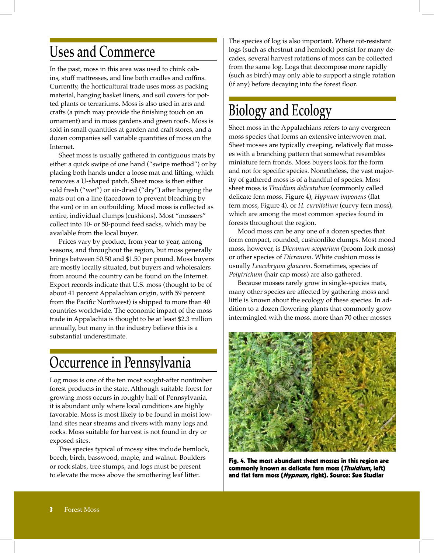### Uses and Commerce

In the past, moss in this area was used to chink cabins, stuff mattresses, and line both cradles and coffins. Currently, the horticultural trade uses moss as packing material, hanging basket liners, and soil covers for potted plants or terrariums. Moss is also used in arts and crafts (a pinch may provide the finishing touch on an ornament) and in moss gardens and green roofs. Moss is sold in small quantities at garden and craft stores, and a dozen companies sell variable quantities of moss on the Internet.

Sheet moss is usually gathered in contiguous mats by either a quick swipe of one hand ("swipe method") or by placing both hands under a loose mat and lifting, which removes a U-shaped patch. Sheet moss is then either sold fresh ("wet") or air-dried ("dry") after hanging the mats out on a line (facedown to prevent bleaching by the sun) or in an outbuilding. Mood moss is collected as entire, individual clumps (cushions). Most "mossers" collect into 10- or 50-pound feed sacks, which may be available from the local buyer.

Prices vary by product, from year to year, among seasons, and throughout the region, but moss generally brings between \$0.50 and \$1.50 per pound. Moss buyers are mostly locally situated, but buyers and wholesalers from around the country can be found on the Internet. Export records indicate that U.S. moss (thought to be of about 41 percent Appalachian origin, with 59 percent from the Pacific Northwest) is shipped to more than 40 countries worldwide. The economic impact of the moss trade in Appalachia is thought to be at least \$2.3 million annually, but many in the industry believe this is a substantial underestimate.

### Occurrence in Pennsylvania

Log moss is one of the ten most sought-after nontimber forest products in the state. Although suitable forest for growing moss occurs in roughly half of Pennsylvania, it is abundant only where local conditions are highly favorable. Moss is most likely to be found in moist lowland sites near streams and rivers with many logs and rocks. Moss suitable for harvest is not found in dry or exposed sites.

Tree species typical of mossy sites include hemlock, beech, birch, basswood, maple, and walnut. Boulders or rock slabs, tree stumps, and logs must be present to elevate the moss above the smothering leaf litter.

The species of log is also important. Where rot-resistant logs (such as chestnut and hemlock) persist for many decades, several harvest rotations of moss can be collected from the same log. Logs that decompose more rapidly (such as birch) may only able to support a single rotation (if any) before decaying into the forest floor.

# Biology and Ecology

Sheet moss in the Appalachians refers to any evergreen moss species that forms an extensive interwoven mat. Sheet mosses are typically creeping, relatively flat mosses with a branching pattern that somewhat resembles miniature fern fronds. Moss buyers look for the form and not for specific species. Nonetheless, the vast majority of gathered moss is of a handful of species. Most sheet moss is *Thuidium delicatulum* (commonly called delicate fern moss, Figure 4), *Hypnum imponens* (flat fern moss, Figure 4), or *H. curvifolium* (curvy fern moss), which are among the most common species found in forests throughout the region.

Mood moss can be any one of a dozen species that form compact, rounded, cushionlike clumps. Most mood moss, however, is *Dicranum scoparium* (broom fork moss) or other species of *Dicranum*. White cushion moss is usually *Leucobryum glaucum*. Sometimes, species of *Polytrichum* (hair cap moss) are also gathered.

Because mosses rarely grow in single-species mats, many other species are affected by gathering moss and little is known about the ecology of these species. In addition to a dozen flowering plants that commonly grow intermingled with the moss, more than 70 other mosses



Fig. 4. The most abundant sheet mosses in this region are commonly known as delicate fern moss (Thuidium, left) and flat fern moss (Hypnum, right). Source: Sue Studlar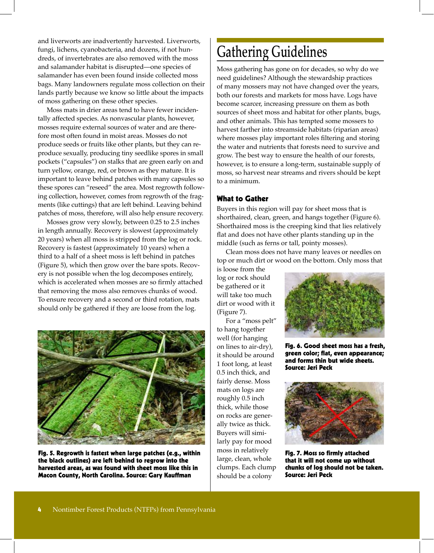and liverworts are inadvertently harvested. Liverworts, fungi, lichens, cyanobacteria, and dozens, if not hundreds, of invertebrates are also removed with the moss and salamander habitat is disrupted—one species of salamander has even been found inside collected moss bags. Many landowners regulate moss collection on their lands partly because we know so little about the impacts of moss gathering on these other species.

Moss mats in drier areas tend to have fewer incidentally affected species. As nonvascular plants, however, mosses require external sources of water and are therefore most often found in moist areas. Mosses do not produce seeds or fruits like other plants, but they can reproduce sexually, producing tiny seedlike spores in small pockets ("capsules") on stalks that are green early on and turn yellow, orange, red, or brown as they mature. It is important to leave behind patches with many capsules so these spores can "reseed" the area. Most regrowth following collection, however, comes from regrowth of the fragments (like cuttings) that are left behind. Leaving behind patches of moss, therefore, will also help ensure recovery.

Mosses grow very slowly, between 0.25 to 2.5 inches in length annually. Recovery is slowest (approximately 20 years) when all moss is stripped from the log or rock. Recovery is fastest (approximately 10 years) when a third to a half of a sheet moss is left behind in patches (Figure 5), which then grow over the bare spots. Recovery is not possible when the log decomposes entirely, which is accelerated when mosses are so firmly attached that removing the moss also removes chunks of wood. To ensure recovery and a second or third rotation, mats should only be gathered if they are loose from the log.



Fig. 5. Regrowth is fastest when large patches (e.g., within the black outlines) are left behind to regrow into the harvested areas, as was found with sheet moss like this in Macon County, North Carolina. Source: Gary Kauffman

## Gathering Guidelines

Moss gathering has gone on for decades, so why do we need guidelines? Although the stewardship practices of many mossers may not have changed over the years, both our forests and markets for moss have. Logs have become scarcer, increasing pressure on them as both sources of sheet moss and habitat for other plants, bugs, and other animals. This has tempted some mossers to harvest farther into streamside habitats (riparian areas) where mosses play important roles filtering and storing the water and nutrients that forests need to survive and grow. The best way to ensure the health of our forests, however, is to ensure a long-term, sustainable supply of moss, so harvest near streams and rivers should be kept to a minimum.

#### What to Gather

Buyers in this region will pay for sheet moss that is shorthaired, clean, green, and hangs together (Figure 6). Shorthaired moss is the creeping kind that lies relatively flat and does not have other plants standing up in the middle (such as ferns or tall, pointy mosses).

Clean moss does not have many leaves or needles on top or much dirt or wood on the bottom. Only moss that

is loose from the log or rock should be gathered or it will take too much dirt or wood with it (Figure 7).

For a "moss pelt" to hang together well (for hanging on lines to air-dry), it should be around 1 foot long, at least 0.5 inch thick, and fairly dense. Moss mats on logs are roughly 0.5 inch thick, while those on rocks are generally twice as thick. Buyers will similarly pay for mood moss in relatively large, clean, whole clumps. Each clump should be a colony



Fig. 6. Good sheet moss has a fresh, green color; flat, even appearance; and forms thin but wide sheets. Source: Jeri Peck



Fig. 7. Moss so firmly attached that it will not come up without chunks of log should not be taken. Source: Jeri Peck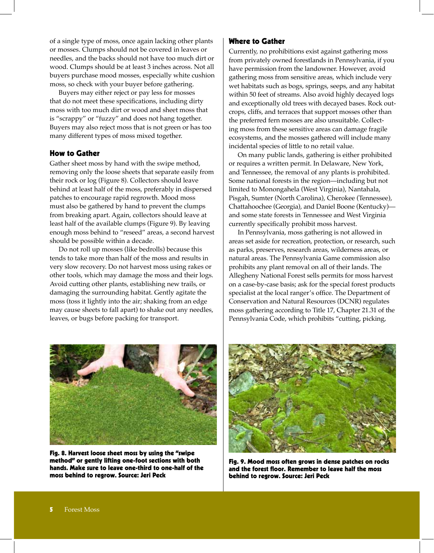of a single type of moss, once again lacking other plants or mosses. Clumps should not be covered in leaves or needles, and the backs should not have too much dirt or wood. Clumps should be at least 3 inches across. Not all buyers purchase mood mosses, especially white cushion moss, so check with your buyer before gathering.

Buyers may either reject or pay less for mosses that do not meet these specifications, including dirty moss with too much dirt or wood and sheet moss that is "scrappy" or "fuzzy" and does not hang together. Buyers may also reject moss that is not green or has too many different types of moss mixed together.

#### How to Gather

Gather sheet moss by hand with the swipe method, removing only the loose sheets that separate easily from their rock or log (Figure 8). Collectors should leave behind at least half of the moss, preferably in dispersed patches to encourage rapid regrowth. Mood moss must also be gathered by hand to prevent the clumps from breaking apart. Again, collectors should leave at least half of the available clumps (Figure 9). By leaving enough moss behind to "reseed" areas, a second harvest should be possible within a decade.

Do not roll up mosses (like bedrolls) because this tends to take more than half of the moss and results in very slow recovery. Do not harvest moss using rakes or other tools, which may damage the moss and their logs. Avoid cutting other plants, establishing new trails, or damaging the surrounding habitat. Gently agitate the moss (toss it lightly into the air; shaking from an edge may cause sheets to fall apart) to shake out any needles, leaves, or bugs before packing for transport.

#### Where to Gather

Currently, no prohibitions exist against gathering moss from privately owned forestlands in Pennsylvania, if you have permission from the landowner. However, avoid gathering moss from sensitive areas, which include very wet habitats such as bogs, springs, seeps, and any habitat within 50 feet of streams. Also avoid highly decayed logs and exceptionally old trees with decayed bases. Rock outcrops, cliffs, and terraces that support mosses other than the preferred fern mosses are also unsuitable. Collecting moss from these sensitive areas can damage fragile ecosystems, and the mosses gathered will include many incidental species of little to no retail value.

On many public lands, gathering is either prohibited or requires a written permit. In Delaware, New York, and Tennessee, the removal of any plants is prohibited. Some national forests in the region—including but not limited to Monongahela (West Virginia), Nantahala, Pisgah, Sumter (North Carolina), Cherokee (Tennessee), Chattahoochee (Georgia), and Daniel Boone (Kentucky) and some state forests in Tennessee and West Virginia currently specifically prohibit moss harvest.

In Pennsylvania, moss gathering is not allowed in areas set aside for recreation, protection, or research, such as parks, preserves, research areas, wilderness areas, or natural areas. The Pennsylvania Game commission also prohibits any plant removal on all of their lands. The Allegheny National Forest sells permits for moss harvest on a case-by-case basis; ask for the special forest products specialist at the local ranger's office. The Department of Conservation and Natural Resources (DCNR) regulates moss gathering according to Title 17, Chapter 21.31 of the Pennsylvania Code, which prohibits "cutting, picking,



Fig. 8. Harvest loose sheet moss by using the "swipe method" or gently lifting one-foot sections with both hands. Make sure to leave one-third to one-half of the moss behind to regrow. Source: Jeri Peck



Fig. 9. Mood moss often grows in dense patches on rocks and the forest floor. Remember to leave half the moss behind to regrow. Source: Jeri Peck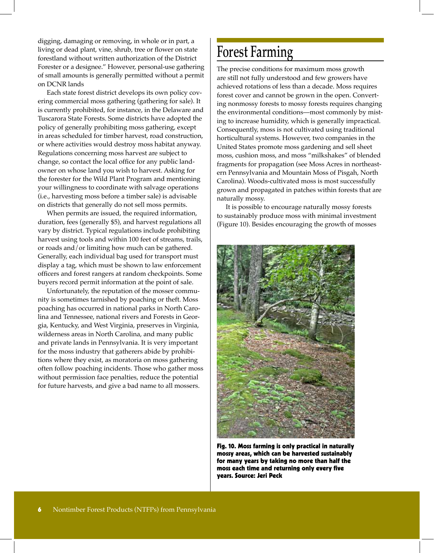digging, damaging or removing, in whole or in part, a living or dead plant, vine, shrub, tree or flower on state forestland without written authorization of the District Forester or a designee." However, personal-use gathering of small amounts is generally permitted without a permit on DCNR lands

Each state forest district develops its own policy covering commercial moss gathering (gathering for sale). It is currently prohibited, for instance, in the Delaware and Tuscarora State Forests. Some districts have adopted the policy of generally prohibiting moss gathering, except in areas scheduled for timber harvest, road construction, or where activities would destroy moss habitat anyway. Regulations concerning moss harvest are subject to change, so contact the local office for any public landowner on whose land you wish to harvest. Asking for the forester for the Wild Plant Program and mentioning your willingness to coordinate with salvage operations (i.e., harvesting moss before a timber sale) is advisable on districts that generally do not sell moss permits.

When permits are issued, the required information, duration, fees (generally \$5), and harvest regulations all vary by district. Typical regulations include prohibiting harvest using tools and within 100 feet of streams, trails, or roads and/or limiting how much can be gathered. Generally, each individual bag used for transport must display a tag, which must be shown to law enforcement officers and forest rangers at random checkpoints. Some buyers record permit information at the point of sale.

Unfortunately, the reputation of the mosser community is sometimes tarnished by poaching or theft. Moss poaching has occurred in national parks in North Carolina and Tennessee, national rivers and Forests in Georgia, Kentucky, and West Virginia, preserves in Virginia, wilderness areas in North Carolina, and many public and private lands in Pennsylvania. It is very important for the moss industry that gatherers abide by prohibitions where they exist, as moratoria on moss gathering often follow poaching incidents. Those who gather moss without permission face penalties, reduce the potential for future harvests, and give a bad name to all mossers.

### Forest Farming

The precise conditions for maximum moss growth are still not fully understood and few growers have achieved rotations of less than a decade. Moss requires forest cover and cannot be grown in the open. Converting nonmossy forests to mossy forests requires changing the environmental conditions—most commonly by misting to increase humidity, which is generally impractical. Consequently, moss is not cultivated using traditional horticultural systems. However, two companies in the United States promote moss gardening and sell sheet moss, cushion moss, and moss "milkshakes" of blended fragments for propagation (see Moss Acres in northeastern Pennsylvania and Mountain Moss of Pisgah, North Carolina). Woods-cultivated moss is most successfully grown and propagated in patches within forests that are naturally mossy.

It is possible to encourage naturally mossy forests to sustainably produce moss with minimal investment (Figure 10). Besides encouraging the growth of mosses



Fig. 10. Moss farming is only practical in naturally mossy areas, which can be harvested sustainably for many years by taking no more than half the moss each time and returning only every five years. Source: Jeri Peck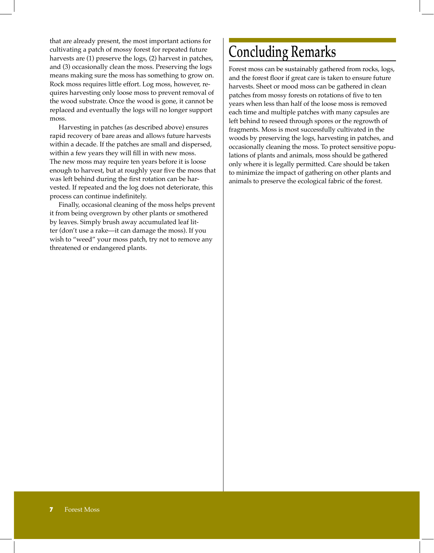that are already present, the most important actions for cultivating a patch of mossy forest for repeated future harvests are (1) preserve the logs, (2) harvest in patches, and (3) occasionally clean the moss. Preserving the logs means making sure the moss has something to grow on. Rock moss requires little effort. Log moss, however, requires harvesting only loose moss to prevent removal of the wood substrate. Once the wood is gone, it cannot be replaced and eventually the logs will no longer support moss.

Harvesting in patches (as described above) ensures rapid recovery of bare areas and allows future harvests within a decade. If the patches are small and dispersed, within a few years they will fill in with new moss. The new moss may require ten years before it is loose enough to harvest, but at roughly year five the moss that was left behind during the first rotation can be harvested. If repeated and the log does not deteriorate, this process can continue indefinitely.

Finally, occasional cleaning of the moss helps prevent it from being overgrown by other plants or smothered by leaves. Simply brush away accumulated leaf litter (don't use a rake—it can damage the moss). If you wish to "weed" your moss patch, try not to remove any threatened or endangered plants.

# Concluding Remarks

Forest moss can be sustainably gathered from rocks, logs, and the forest floor if great care is taken to ensure future harvests. Sheet or mood moss can be gathered in clean patches from mossy forests on rotations of five to ten years when less than half of the loose moss is removed each time and multiple patches with many capsules are left behind to reseed through spores or the regrowth of fragments. Moss is most successfully cultivated in the woods by preserving the logs, harvesting in patches, and occasionally cleaning the moss. To protect sensitive populations of plants and animals, moss should be gathered only where it is legally permitted. Care should be taken to minimize the impact of gathering on other plants and animals to preserve the ecological fabric of the forest.